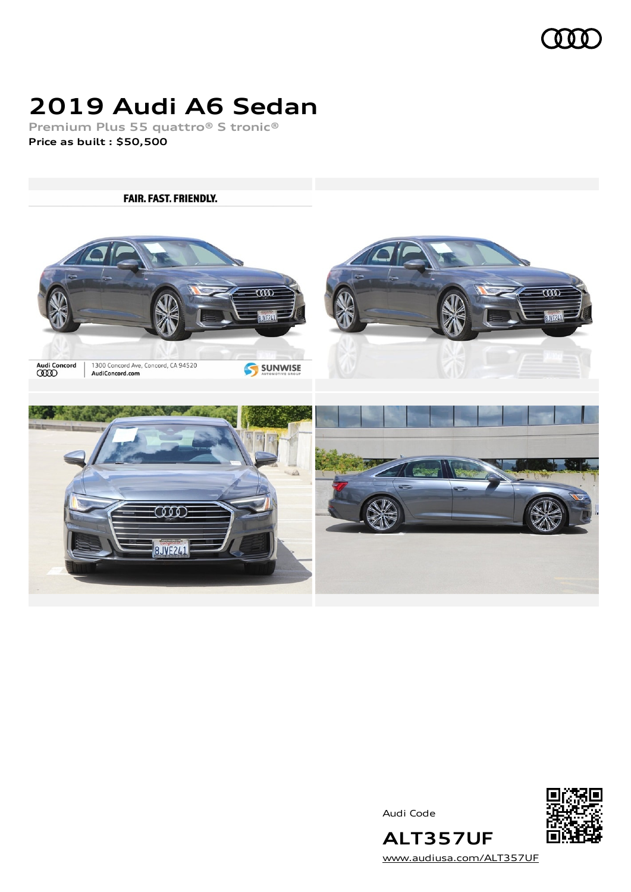

# **2019 Audi A6 Sedan**

**Premium Plus 55 quattro® S tronic® Price as built [:](#page-8-0) \$50,500**

**FAIR. FAST. FRIENDLY.**  $\overline{\overline{\mathrm{co}}\mathrm{o}}$  $\overline{\overline{\mathrm{co}}\mathrm{o}}$  $WF2I1$ **WE2L** Audi Concord<br>**CCCO** 1300 Concord Ave, Concord, CA 94520<br>AudiConcord.com SUNWISE **COOD 8JVE241** 

Audi Code



**ALT357UF** [www.audiusa.com/ALT357UF](https://www.audiusa.com/ALT357UF)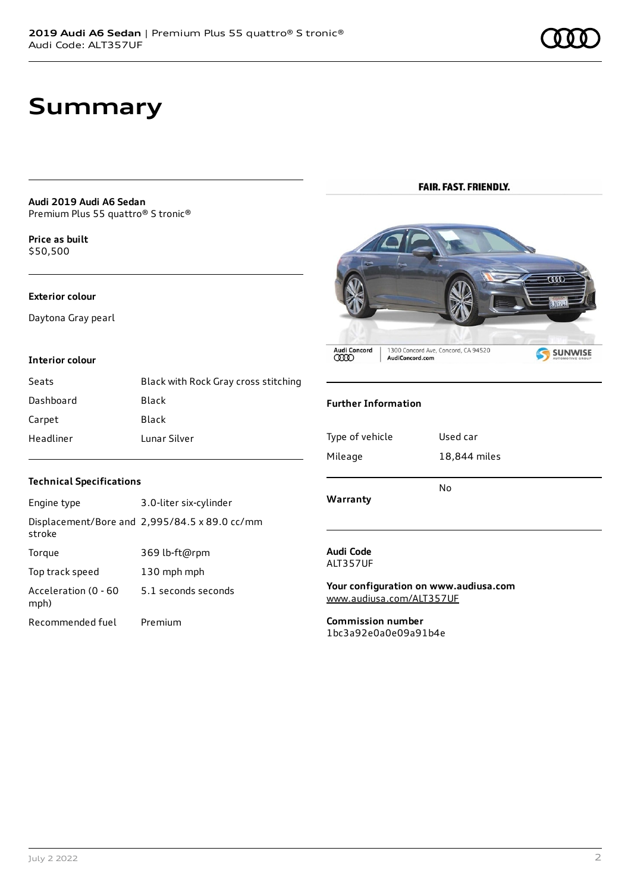### **Summary**

**Audi 2019 Audi A6 Sedan** Premium Plus 55 quattro® S tronic®

**Price as buil[t](#page-8-0)** \$50,500

#### **Exterior colour**

Daytona Gray pearl

#### **Interior colour**

| Seats     | Black with Rock Gray cross stitching |
|-----------|--------------------------------------|
| Dashboard | Black                                |
| Carpet    | Black                                |
| Headliner | Lunar Silver                         |

#### **FAIR. FAST. FRIENDLY.**



#### **Further Information**

| Type of vehicle | Used car     |
|-----------------|--------------|
| Mileage         | 18,844 miles |
| Warranty        | No           |

#### **Audi Code** ALT357UF

**Your configuration on www.audiusa.com** [www.audiusa.com/ALT357UF](https://www.audiusa.com/ALT357UF)

**Commission number** 1bc3a92e0a0e09a91b4e

#### **Technical Specifications**

| Engine type                  | 3.0-liter six-cylinder                        |
|------------------------------|-----------------------------------------------|
| stroke                       | Displacement/Bore and 2,995/84.5 x 89.0 cc/mm |
| Torque                       | 369 lb-ft@rpm                                 |
| Top track speed              | 130 mph mph                                   |
| Acceleration (0 - 60<br>mph) | 5.1 seconds seconds                           |
| Recommended fuel             | Premium                                       |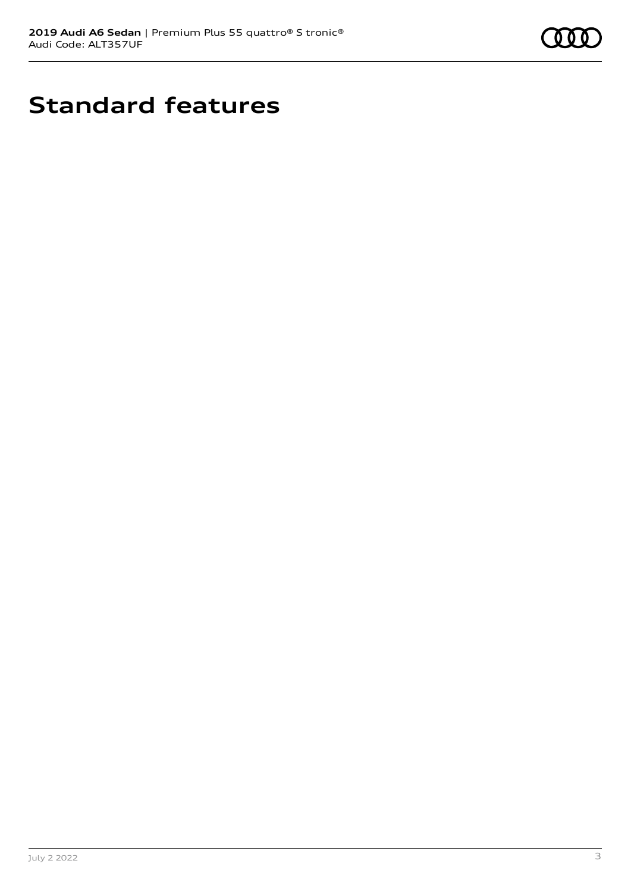

# **Standard features**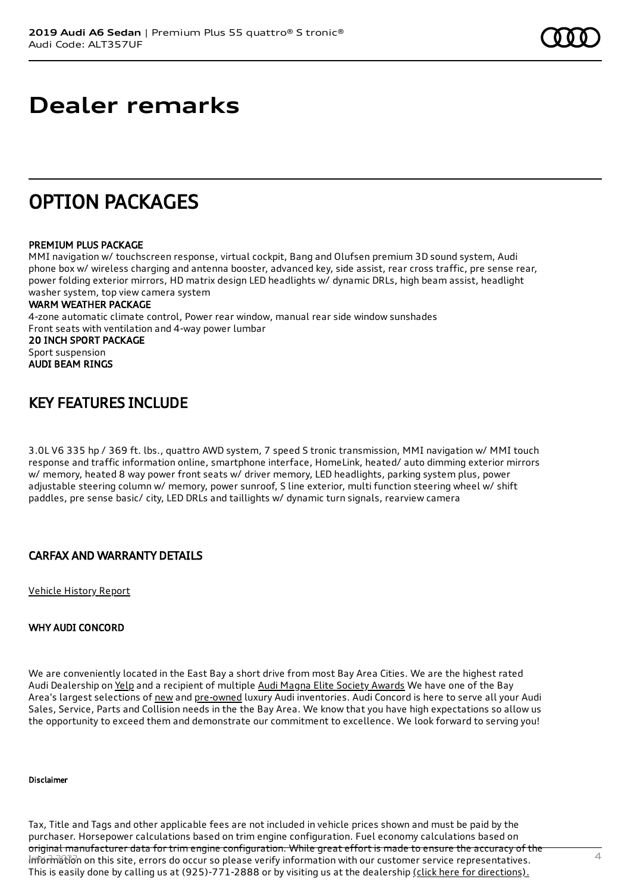### **Dealer remarks**

### OPTION PACKAGES

#### PREMIUM PLUS PACKAGE

MMI navigation w/ touchscreen response, virtual cockpit, Bang and Olufsen premium 3D sound system, Audi phone box w/ wireless charging and antenna booster, advanced key, side assist, rear cross traffic, pre sense rear, power folding exterior mirrors, HD matrix design LED headlights w/ dynamic DRLs, high beam assist, headlight washer system, top view camera system

#### WARM WEATHER PACKAGE

4-zone automatic climate control, Power rear window, manual rear side window sunshades Front seats with ventilation and 4-way power lumbar 20 INCH SPORT PACKAGE Sport suspension AUDI BEAM RINGS

### KEY FEATURES INCLUDE

3.0L V6 335 hp / 369 ft. lbs., quattro AWD system, 7 speed S tronic transmission, MMI navigation w/ MMI touch response and traffic information online, smartphone interface, HomeLink, heated/ auto dimming exterior mirrors w/ memory, heated 8 way power front seats w/ driver memory, LED headlights, parking system plus, power adjustable steering column w/ memory, power sunroof, S line exterior, multi function steering wheel w/ shift paddles, pre sense basic/ city, LED DRLs and taillights w/ dynamic turn signals, rearview camera

### CARFAX AND WARRANTY DETAILS

[Vehicle](https://www.carfax.com/VehicleHistory/p/Report.cfx?partner=DLR_3&vin=WAUL2AF28KN069589) History Report

#### WHY AUDI CONCORD

We are conveniently located in the East Bay a short drive from most Bay Area Cities. We are the highest rated Audi Dealership on [Yelp](https://www.yelp.com/biz/audi-concord-concord) and a recipient of multiple Audi Magna Elite Society [Awards](https://www.audiconcord.com/magna-society-award.htm) We have one of the Bay Area's largest selections of [new](https://www.audiconcord.com/new-inventory/index.htm) and [pre-owned](https://www.audiconcord.com/used-inventory/index.htm) luxury Audi inventories. Audi Concord is here to serve all your Audi Sales, Service, Parts and Collision needs in the the Bay Area. We know that you have high expectations so allow us the opportunity to exceed them and demonstrate our commitment to excellence. We look forward to serving you!

#### Disclaimer

Tax, Title and Tags and other applicable fees are not included in vehicle prices shown and must be paid by the purchaser. Horsepower calculations based on trim engine configuration. Fuel economy calculations based on original manufacturer data for trim engine configuration. While great effort is made to ensure the accuracy of the  $\frac{1}{2}$ This is easily done by calling us at (925)-771-2888 or by visiting us at the dealership (click here for [directions\).](https://www.audiconcord.com/dealership/directions.htm)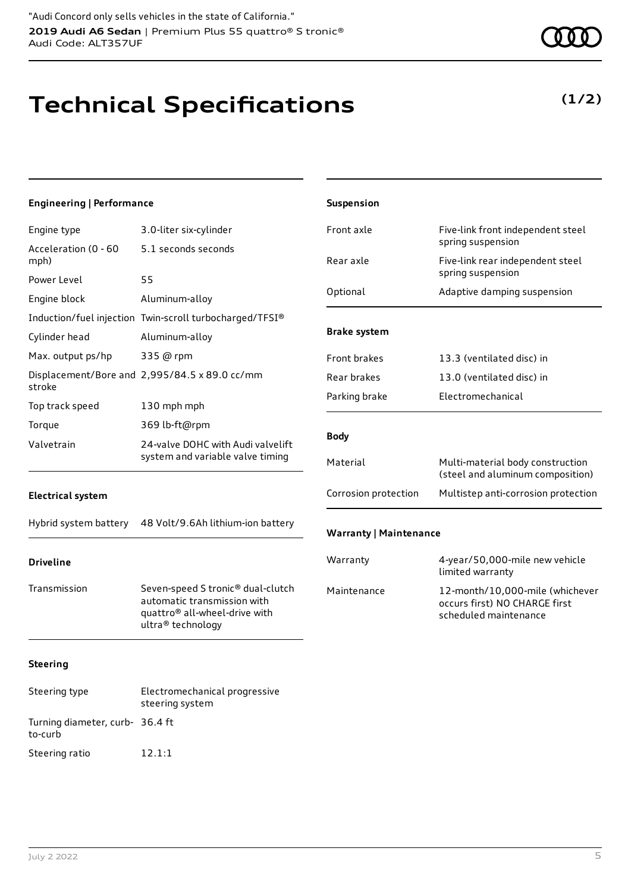## **Technical Specifications**

5.1 seconds seconds

**Engineering | Performance**

Power Level 55

Acceleration (0 - 60

mph)

Engine type 3.0-liter six-cylinder

Engine block Aluminum-alloy

Cylinder head Aluminum-alloy

Max. output ps/hp 335 @ rpm

| stroke          | Displacement/Bore and 2,995/84.5 x 89.0 cc/mm                         |
|-----------------|-----------------------------------------------------------------------|
| Top track speed | 130 mph mph                                                           |
| Torque          | 369 lb-ft@rpm                                                         |
| Valvetrain      | 24-valve DOHC with Audi valvelift<br>system and variable valve timing |

Induction/fuel injection Twin-scroll turbocharged/TFSI®

#### **Electrical system**

Hybrid system battery 48 Volt/9.6Ah lithium-ion battery

#### **Driveline**

Transmission Seven-speed S tronic® dual-clutch automatic transmission with quattro® all-wheel-drive with ultra® technology

#### **Steering**

| Steering type                             | Electromechanical progressive<br>steering system |
|-------------------------------------------|--------------------------------------------------|
| Turning diameter, curb-36.4 ft<br>to-curb |                                                  |
| Steering ratio                            | 12.1:1                                           |

| Front axle                    | Five-link front independent steel<br>spring suspension               |  |
|-------------------------------|----------------------------------------------------------------------|--|
| Rear axle                     | Five-link rear independent steel<br>spring suspension                |  |
| Optional                      | Adaptive damping suspension                                          |  |
| <b>Brake system</b>           |                                                                      |  |
| <b>Front brakes</b>           | 13.3 (ventilated disc) in                                            |  |
| Rear brakes                   | 13.0 (ventilated disc) in                                            |  |
| Parking brake                 | <b>Electromechanical</b>                                             |  |
| <b>Body</b>                   |                                                                      |  |
| Material                      | Multi-material body construction<br>(steel and aluminum composition) |  |
| Corrosion protection          | Multistep anti-corrosion protection                                  |  |
| <b>Warranty   Maintenance</b> |                                                                      |  |
| Warranty                      | 4-year/50,000-mile new vehicle<br>limited warranty                   |  |

**Suspension**

### Maintenance 12-month/10,000-mile (whichever occurs first) NO CHARGE first scheduled maintenance

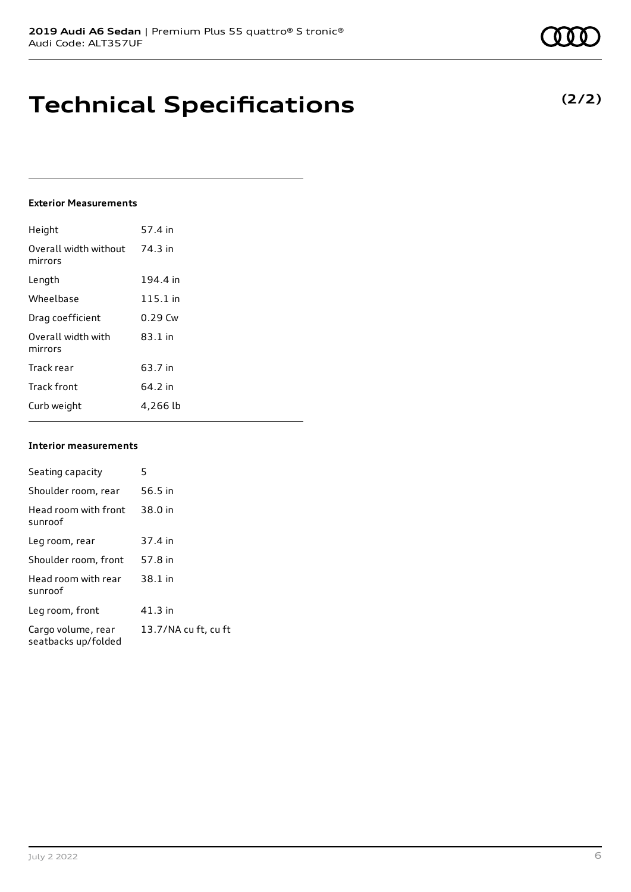### **Technical Specifications**

#### **Exterior Measurements**

| Height                           | 57.4 in   |
|----------------------------------|-----------|
| Overall width without<br>mirrors | 74.3 in   |
| Length                           | 194.4 in  |
| Wheelbase                        | 115.1 in  |
| Drag coefficient                 | $0.29$ Cw |
| Overall width with<br>mirrors    | $83.1$ in |
| Track rear                       | 63.7 in   |
| <b>Track front</b>               | 64.2 in   |
| Curb weight                      | 4,266 lb  |

#### **Interior measurements**

| Seating capacity                          | 5                    |
|-------------------------------------------|----------------------|
|                                           |                      |
| Shoulder room, rear                       | 56.5 in              |
| Head room with front<br>sunroof           | 38.0 in              |
| Leg room, rear                            | 37.4 in              |
| Shoulder room, front                      | 57.8 in              |
| Head room with rear<br>sunroof            | 38.1 in              |
| Leg room, front                           | 41.3 in              |
| Cargo volume, rear<br>seatbacks up/folded | 13.7/NA cu ft, cu ft |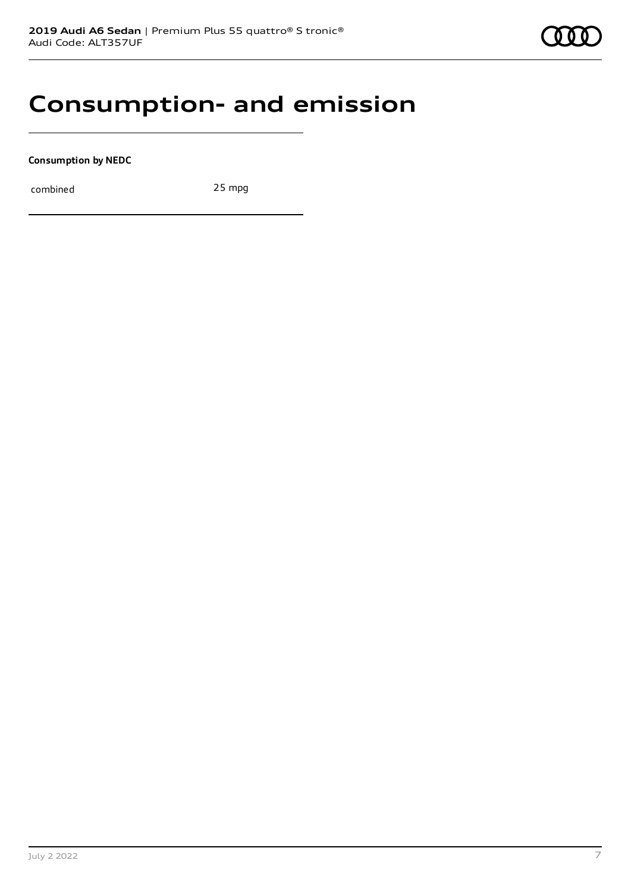

### **Consumption- and emission**

**Consumption by NEDC**

combined 25 mpg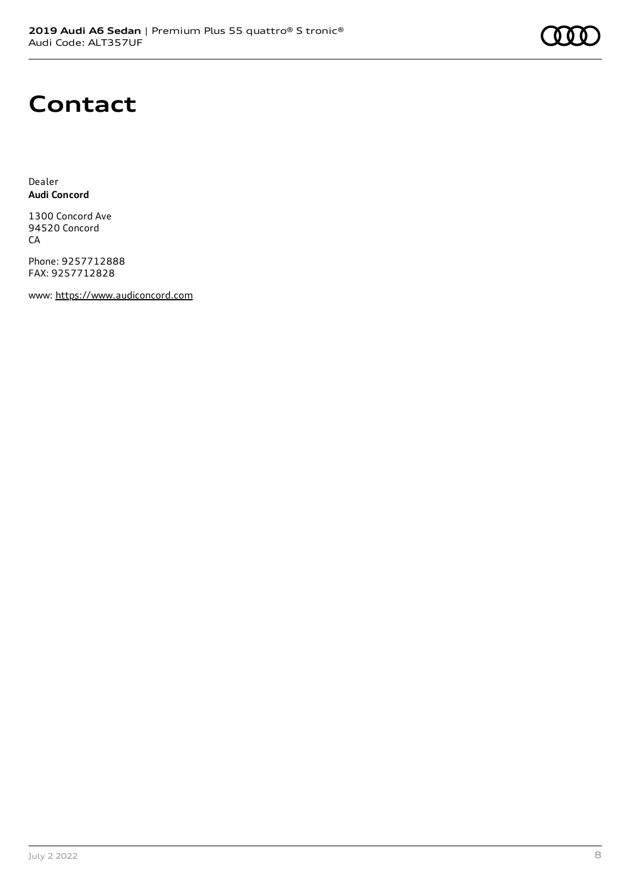### **Contact**

Dealer **Audi Concord**

1300 Concord Ave 94520 Concord CA

Phone: 9257712888 FAX: 9257712828

www: [https://www.audiconcord.com](https://www.audiconcord.com/)